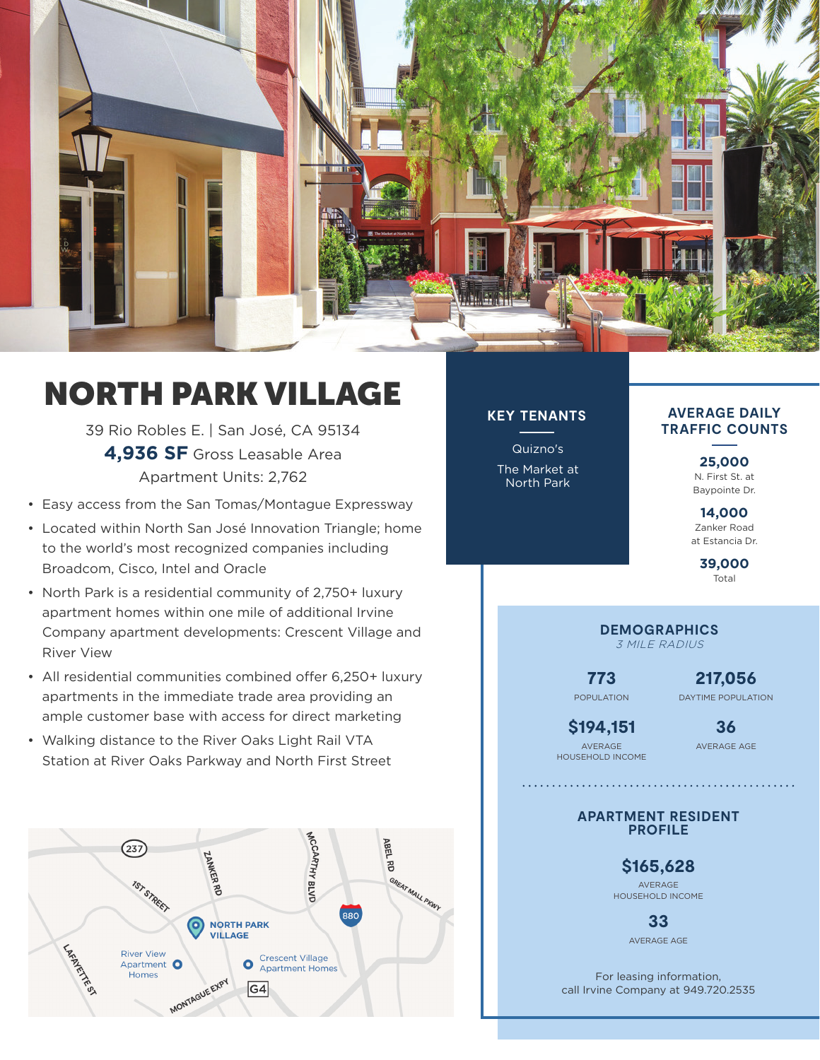

## NORTH PARK VILLAGE

39 Rio Robles E. | San José, CA 95134 **4,936 SF** Gross Leasable Area Apartment Units: 2,762

- Easy access from the San Tomas/Montague Expressway
- Located within North San José Innovation Triangle; home to the world's most recognized companies including Broadcom, Cisco, Intel and Oracle
- North Park is a residential community of 2,750+ luxury apartment homes within one mile of additional Irvine Company apartment developments: Crescent Village and River View
- All residential communities combined offer 6,250+ luxury apartments in the immediate trade area providing an ample customer base with access for direct marketing
- Walking distance to the River Oaks Light Rail VTA Station at River Oaks Parkway and North First Street



## **KEY TENANTS**

Quizno's The Market at North Park

**AVERAGE DAILY TRAFFIC COUNTS**

> **25,000** N. First St. at Baypointe Dr.

**14,000** Zanker Road at Estancia Dr.

> **39,000** Total

**DEMOGRAPHICS** 3 MILE RADIUS

**773** POPULATION

**217,056** DAYTIME POPULATION

**\$194,151** AVERAGE HOUSEHOLD INCOME **36**

AVERAGE AGE

**APARTMENT RESIDENT PROFILE**

> **\$165,628** AVERAGE HOUSEHOLD INCOME

> > **33** AVERAGE AGE

For leasing information, call Irvine Company at 949.720.2535